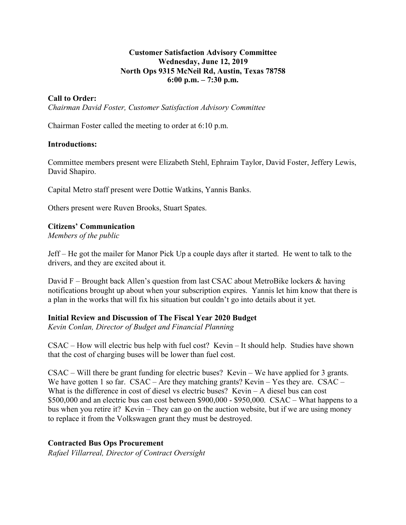## **Customer Satisfaction Advisory Committee Wednesday, June 12, 2019 North Ops 9315 McNeil Rd, Austin, Texas 78758 6:00 p.m. – 7:30 p.m.**

## **Call to Order:**

*Chairman David Foster, Customer Satisfaction Advisory Committee*

Chairman Foster called the meeting to order at 6:10 p.m.

### **Introductions:**

Committee members present were Elizabeth Stehl, Ephraim Taylor, David Foster, Jeffery Lewis, David Shapiro.

Capital Metro staff present were Dottie Watkins, Yannis Banks.

Others present were Ruven Brooks, Stuart Spates.

### **Citizens' Communication**

*Members of the public*

Jeff – He got the mailer for Manor Pick Up a couple days after it started. He went to talk to the drivers, and they are excited about it.

David F – Brought back Allen's question from last CSAC about MetroBike lockers & having notifications brought up about when your subscription expires. Yannis let him know that there is a plan in the works that will fix his situation but couldn't go into details about it yet.

### **Initial Review and Discussion of The Fiscal Year 2020 Budget**

*Kevin Conlan, Director of Budget and Financial Planning*

CSAC – How will electric bus help with fuel cost? Kevin – It should help. Studies have shown that the cost of charging buses will be lower than fuel cost.

CSAC – Will there be grant funding for electric buses? Kevin – We have applied for 3 grants. We have gotten 1 so far. CSAC – Are they matching grants? Kevin – Yes they are. CSAC – What is the difference in cost of diesel vs electric buses? Kevin  $-A$  diesel bus can cost \$500,000 and an electric bus can cost between \$900,000 - \$950,000. CSAC – What happens to a bus when you retire it? Kevin – They can go on the auction website, but if we are using money to replace it from the Volkswagen grant they must be destroyed.

### **Contracted Bus Ops Procurement**

*Rafael Villarreal, Director of Contract Oversight*